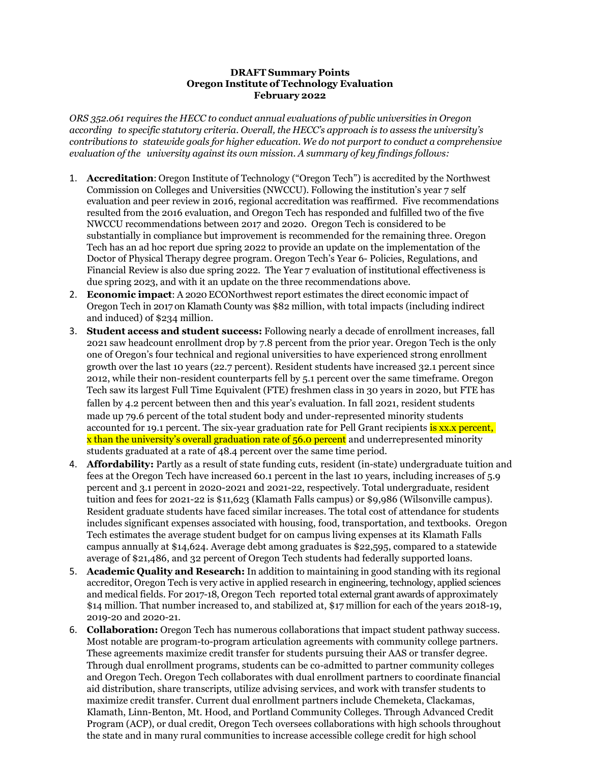## **DRAFT Summary Points Oregon Institute of Technology Evaluation February 2022**

*ORS 352.061 requires the HECC to conduct annual evaluations of public universities in Oregon according to specific statutory criteria. Overall, the HECC's approach is to assess the university's contributions to statewide goals for higher education. We do not purport to conduct a comprehensive evaluation of the university against its own mission. A summary of key findings follows:*

- 1. **Accreditation**: Oregon Institute of Technology ("Oregon Tech") is accredited by the Northwest Commission on Colleges and Universities (NWCCU). Following the institution's year 7 self evaluation and peer review in 2016, regional accreditation was reaffirmed. Five recommendations resulted from the 2016 evaluation, and Oregon Tech has responded and fulfilled two of the five NWCCU recommendations between 2017 and 2020. Oregon Tech is considered to be substantially in compliance but improvement is recommended for the remaining three. Oregon Tech has an ad hoc report due spring 2022 to provide an update on the implementation of the Doctor of Physical Therapy degree program. Oregon Tech's Year 6- Policies, Regulations, and Financial Review is also due spring 2022. The Year 7 evaluation of institutional effectiveness is due spring 2023, and with it an update on the three recommendations above.
- 2. **Economic impact**: A 2020 ECONorthwest report estimates the direct economic impact of Oregon Tech in 2017 on Klamath County was \$82 million, with total impacts (including indirect and induced) of \$234 million.
- 3. **Student access and student success:** Following nearly a decade of enrollment increases, fall 2021 saw headcount enrollment drop by 7.8 percent from the prior year. Oregon Tech is the only one of Oregon's four technical and regional universities to have experienced strong enrollment growth over the last 10 years (22.7 percent). Resident students have increased 32.1 percent since 2012, while their non-resident counterparts fell by 5.1 percent over the same timeframe. Oregon Tech saw its largest Full Time Equivalent (FTE) freshmen class in 30 years in 2020, but FTE has fallen by 4.2 percent between then and this year's evaluation. In fall 2021, resident students made up 79.6 percent of the total student body and under-represented minority students accounted for 19.1 percent. The six-year graduation rate for Pell Grant recipients is xx.x percent, x than the university's overall graduation rate of 56.0 percent and underrepresented minority students graduated at a rate of 48.4 percent over the same time period.
- 4. **Affordability:** Partly as a result of state funding cuts, resident (in-state) undergraduate tuition and fees at the Oregon Tech have increased 60.1 percent in the last 10 years, including increases of 5.9 percent and 3.1 percent in 2020-2021 and 2021-22, respectively. Total undergraduate, resident tuition and fees for 2021-22 is \$11,623 (Klamath Falls campus) or \$9,986 (Wilsonville campus). Resident graduate students have faced similar increases. The total cost of attendance for students includes significant expenses associated with housing, food, transportation, and textbooks. Oregon Tech estimates the average student budget for on campus living expenses at its Klamath Falls campus annually at \$14,624. Average debt among graduates is \$22,595, compared to a statewide average of \$21,486, and 32 percent of Oregon Tech students had federally supported loans.
- 5. **Academic Quality and Research:** In addition to maintaining in good standing with its regional accreditor, Oregon Tech is very active in applied research in engineering, technology, applied sciences and medical fields. For 2017-18, Oregon Tech reported total external grant awards of approximately \$14 million. That number increased to, and stabilized at, \$17 million for each of the years 2018-19, 2019-20 and 2020-21.
- 6. **Collaboration:** Oregon Tech has numerous collaborations that impact student pathway success. Most notable are program-to-program articulation agreements with community college partners. These agreements maximize credit transfer for students pursuing their AAS or transfer degree. Through dual enrollment programs, students can be co-admitted to partner community colleges and Oregon Tech. Oregon Tech collaborates with dual enrollment partners to coordinate financial aid distribution, share transcripts, utilize advising services, and work with transfer students to maximize credit transfer. Current dual enrollment partners include Chemeketa, Clackamas, Klamath, Linn-Benton, Mt. Hood, and Portland Community Colleges. Through Advanced Credit Program (ACP), or dual credit, Oregon Tech oversees collaborations with high schools throughout the state and in many rural communities to increase accessible college credit for high school